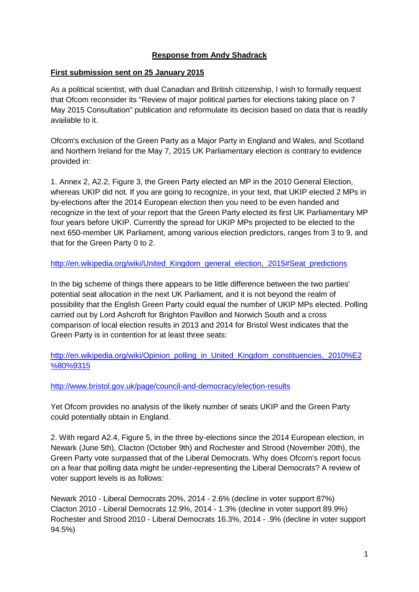## **Response from Andy Shadrack**

### **First submission sent on 25 January 2015**

As a political scientist, with dual Canadian and British citizenship, I wish to formally request that Ofcom reconsider its "Review of major political parties for elections taking place on 7 May 2015 Consultation" publication and reformulate its decision based on data that is readily available to it.

Ofcom's exclusion of the Green Party as a Major Party in England and Wales, and Scotland and Northern Ireland for the May 7, 2015 UK Parliamentary election is contrary to evidence provided in:

1. Annex 2, A2.2, Figure 3, the Green Party elected an MP in the 2010 General Election, whereas UKIP did not. If you are going to recognize, in your text, that UKIP elected 2 MPs in by-elections after the 2014 European election then you need to be even handed and recognize in the text of your report that the Green Party elected its first UK Parliamentary MP four years before UKIP. Currently the spread for UKIP MPs projected to be elected to the next 650-member UK Parliament, among various election predictors, ranges from 3 to 9, and that for the Green Party 0 to 2.

#### http://en.wikipedia.org/wiki/United Kingdom general election, 2015#Seat predictions

In the big scheme of things there appears to be little difference between the two parties' potential seat allocation in the next UK Parliament, and it is not beyond the realm of possibility that the English Green Party could equal the number of UKIP MPs elected. Polling carried out by Lord Ashcroft for Brighton Pavillon and Norwich South and a cross comparison of local election results in 2013 and 2014 for Bristol West indicates that the Green Party is in contention for at least three seats:

[http://en.wikipedia.org/wiki/Opinion\\_polling\\_in\\_United\\_Kingdom\\_constituencies,\\_2010%E2](http://en.wikipedia.org/wiki/Opinion_polling_in_United_Kingdom_constituencies,_2010%E2%80%9315) [%80%9315](http://en.wikipedia.org/wiki/Opinion_polling_in_United_Kingdom_constituencies,_2010%E2%80%9315)

#### <http://www.bristol.gov.uk/page/council-and-democracy/election-results>

Yet Ofcom provides no analysis of the likely number of seats UKIP and the Green Party could potentially obtain in England.

2. With regard A2.4, Figure 5, in the three by-elections since the 2014 European election, in Newark (June 5th), Clacton (October 9th) and Rochester and Strood (November 20th), the Green Party vote surpassed that of the Liberal Democrats. Why does Ofcom's report focus on a fear that polling data might be under-representing the Liberal Democrats? A review of voter support levels is as follows:

Newark 2010 - Liberal Democrats 20%, 2014 - 2.6% (decline in voter support 87%) Clacton 2010 - Liberal Democrats 12.9%, 2014 - 1.3% (decline in voter support 89.9%) Rochester and Strood 2010 - Liberal Democrats 16.3%, 2014 - .9% (decline in voter support 94.5%)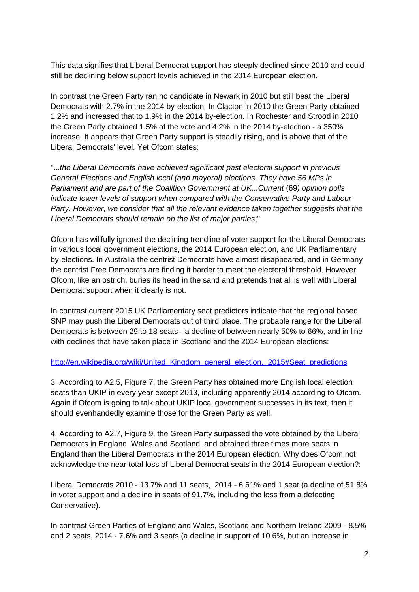This data signifies that Liberal Democrat support has steeply declined since 2010 and could still be declining below support levels achieved in the 2014 European election.

In contrast the Green Party ran no candidate in Newark in 2010 but still beat the Liberal Democrats with 2.7% in the 2014 by-election. In Clacton in 2010 the Green Party obtained 1.2% and increased that to 1.9% in the 2014 by-election. In Rochester and Strood in 2010 the Green Party obtained 1.5% of the vote and 4.2% in the 2014 by-election - a 350% increase. It appears that Green Party support is steadily rising, and is above that of the Liberal Democrats' level. Yet Ofcom states:

"...*the Liberal Democrats have achieved significant past electoral support in previous General Elections and English local (and mayoral) elections. They have 56 MPs in Parliament and are part of the Coalition Government at UK...Current (69) opinion polls indicate lower levels of support when compared with the Conservative Party and Labour Party. However, we consider that all the relevant evidence taken together suggests that the Liberal Democrats should remain on the list of major parties*;"

Ofcom has willfully ignored the declining trendline of voter support for the Liberal Democrats in various local government elections, the 2014 European election, and UK Parliamentary by-elections. In Australia the centrist Democrats have almost disappeared, and in Germany the centrist Free Democrats are finding it harder to meet the electoral threshold. However Ofcom, like an ostrich, buries its head in the sand and pretends that all is well with Liberal Democrat support when it clearly is not.

In contrast current 2015 UK Parliamentary seat predictors indicate that the regional based SNP may push the Liberal Democrats out of third place. The probable range for the Liberal Democrats is between 29 to 18 seats - a decline of between nearly 50% to 66%, and in line with declines that have taken place in Scotland and the 2014 European elections:

#### http://en.wikipedia.org/wiki/United Kingdom general election, 2015#Seat predictions

3. According to A2.5, Figure 7, the Green Party has obtained more English local election seats than UKIP in every year except 2013, including apparently 2014 according to Ofcom. Again if Ofcom is going to talk about UKIP local government successes in its text, then it should evenhandedly examine those for the Green Party as well.

4. According to A2.7, Figure 9, the Green Party surpassed the vote obtained by the Liberal Democrats in England, Wales and Scotland, and obtained three times more seats in England than the Liberal Democrats in the 2014 European election. Why does Ofcom not acknowledge the near total loss of Liberal Democrat seats in the 2014 European election?:

Liberal Democrats 2010 - 13.7% and 11 seats, 2014 - 6.61% and 1 seat (a decline of 51.8% in voter support and a decline in seats of 91.7%, including the loss from a defecting Conservative).

In contrast Green Parties of England and Wales, Scotland and Northern Ireland 2009 - 8.5% and 2 seats, 2014 - 7.6% and 3 seats (a decline in support of 10.6%, but an increase in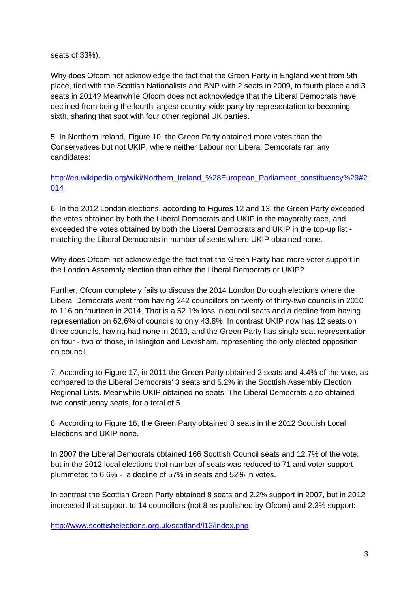seats of 33%).

Why does Ofcom not acknowledge the fact that the Green Party in England went from 5th place, tied with the Scottish Nationalists and BNP with 2 seats in 2009, to fourth place and 3 seats in 2014? Meanwhile Ofcom does not acknowledge that the Liberal Democrats have declined from being the fourth largest country-wide party by representation to becoming sixth, sharing that spot with four other regional UK parties.

5. In Northern Ireland, Figure 10, the Green Party obtained more votes than the Conservatives but not UKIP, where neither Labour nor Liberal Democrats ran any candidates:

[http://en.wikipedia.org/wiki/Northern\\_Ireland\\_%28European\\_Parliament\\_constituency%29#2](http://en.wikipedia.org/wiki/Northern_Ireland_(European_Parliament_constituency)#2014) [014](http://en.wikipedia.org/wiki/Northern_Ireland_(European_Parliament_constituency)#2014)

6. In the 2012 London elections, according to Figures 12 and 13, the Green Party exceeded the votes obtained by both the Liberal Democrats and UKIP in the mayoralty race, and exceeded the votes obtained by both the Liberal Democrats and UKIP in the top-up list matching the Liberal Democrats in number of seats where UKIP obtained none.

Why does Ofcom not acknowledge the fact that the Green Party had more voter support in the London Assembly election than either the Liberal Democrats or UKIP?

Further, Ofcom completely fails to discuss the 2014 London Borough elections where the Liberal Democrats went from having 242 councillors on twenty of thirty-two councils in 2010 to 116 on fourteen in 2014. That is a 52.1% loss in council seats and a decline from having representation on 62.6% of councils to only 43.8%. In contrast UKIP now has 12 seats on three councils, having had none in 2010, and the Green Party has single seat representation on four - two of those, in Islington and Lewisham, representing the only elected opposition on council.

7. According to Figure 17, in 2011 the Green Party obtained 2 seats and 4.4% of the vote, as compared to the Liberal Democrats' 3 seats and 5.2% in the Scottish Assembly Election Regional Lists. Meanwhile UKIP obtained no seats. The Liberal Democrats also obtained two constituency seats, for a total of 5.

8. According to Figure 16, the Green Party obtained 8 seats in the 2012 Scottish Local Elections and UKIP none.

In 2007 the Liberal Democrats obtained 166 Scottish Council seats and 12.7% of the vote, but in the 2012 local elections that number of seats was reduced to 71 and voter support plummeted to 6.6% - a decline of 57% in seats and 52% in votes.

In contrast the Scottish Green Party obtained 8 seats and 2.2% support in 2007, but in 2012 increased that support to 14 councillors (not 8 as published by Ofcom) and 2.3% support:

<http://www.scottishelections.org.uk/scotland/l12/index.php>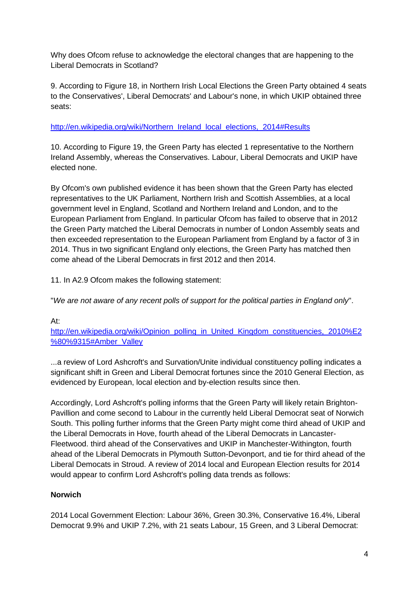Why does Ofcom refuse to acknowledge the electoral changes that are happening to the Liberal Democrats in Scotland?

9. According to Figure 18, in Northern Irish Local Elections the Green Party obtained 4 seats to the Conservatives', Liberal Democrats' and Labour's none, in which UKIP obtained three seats:

# [http://en.wikipedia.org/wiki/Northern\\_Ireland\\_local\\_elections,\\_2014#Results](http://en.wikipedia.org/wiki/Northern_Ireland_local_elections,_2014#Results)

10. According to Figure 19, the Green Party has elected 1 representative to the Northern Ireland Assembly, whereas the Conservatives. Labour, Liberal Democrats and UKIP have elected none.

By Ofcom's own published evidence it has been shown that the Green Party has elected representatives to the UK Parliament, Northern Irish and Scottish Assemblies, at a local government level in England, Scotland and Northern Ireland and London, and to the European Parliament from England. In particular Ofcom has failed to observe that in 2012 the Green Party matched the Liberal Democrats in number of London Assembly seats and then exceeded representation to the European Parliament from England by a factor of 3 in 2014. Thus in two significant England only elections, the Green Party has matched then come ahead of the Liberal Democrats in first 2012 and then 2014.

11. In A2.9 Ofcom makes the following statement:

"*We are not aware of any recent polls of support for the political parties in England only*".

At:

[http://en.wikipedia.org/wiki/Opinion\\_polling\\_in\\_United\\_Kingdom\\_constituencies,\\_2010%E2](http://en.wikipedia.org/wiki/Opinion_polling_in_United_Kingdom_constituencies,_2010%E2%80%9315#Amber_Valley) [%80%9315#Amber\\_Valley](http://en.wikipedia.org/wiki/Opinion_polling_in_United_Kingdom_constituencies,_2010%E2%80%9315#Amber_Valley)

...a review of Lord Ashcroft's and Survation/Unite individual constituency polling indicates a significant shift in Green and Liberal Democrat fortunes since the 2010 General Election, as evidenced by European, local election and by-election results since then.

Accordingly, Lord Ashcroft's polling informs that the Green Party will likely retain Brighton-Pavillion and come second to Labour in the currently held Liberal Democrat seat of Norwich South. This polling further informs that the Green Party might come third ahead of UKIP and the Liberal Democrats in Hove, fourth ahead of the Liberal Democrats in Lancaster-Fleetwood. third ahead of the Conservatives and UKIP in Manchester-Withington, fourth ahead of the Liberal Democrats in Plymouth Sutton-Devonport, and tie for third ahead of the Liberal Democats in Stroud. A review of 2014 local and European Election results for 2014 would appear to confirm Lord Ashcroft's polling data trends as follows:

# **Norwich**

2014 Local Government Election: Labour 36%, Green 30.3%, Conservative 16.4%, Liberal Democrat 9.9% and UKIP 7.2%, with 21 seats Labour, 15 Green, and 3 Liberal Democrat: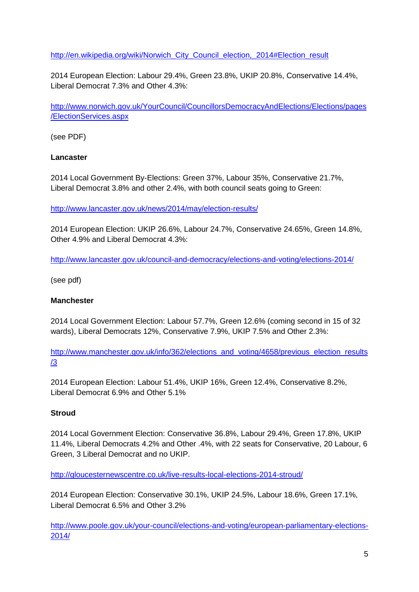## [http://en.wikipedia.org/wiki/Norwich\\_City\\_Council\\_election,\\_2014#Election\\_result](http://en.wikipedia.org/wiki/Norwich_City_Council_election,_2014#Election_result)

2014 European Election: Labour 29.4%, Green 23.8%, UKIP 20.8%, Conservative 14.4%, Liberal Democrat 7.3% and Other 4.3%:

[http://www.norwich.gov.uk/YourCouncil/CouncillorsDemocracyAndElections/Elections/pages](http://www.norwich.gov.uk/YourCouncil/CouncillorsDemocracyAndElections/Elections/pages/ElectionServices.aspx) [/ElectionServices.aspx](http://www.norwich.gov.uk/YourCouncil/CouncillorsDemocracyAndElections/Elections/pages/ElectionServices.aspx)

(see PDF)

## **Lancaster**

2014 Local Government By-Elections: Green 37%, Labour 35%, Conservative 21.7%, Liberal Democrat 3.8% and other 2.4%, with both council seats going to Green:

<http://www.lancaster.gov.uk/news/2014/may/election-results/>

2014 European Election: UKIP 26.6%, Labour 24.7%, Conservative 24.65%, Green 14.8%, Other 4.9% and Liberal Democrat 4.3%:

<http://www.lancaster.gov.uk/council-and-democracy/elections-and-voting/elections-2014/>

(see pdf)

## **Manchester**

2014 Local Government Election: Labour 57.7%, Green 12.6% (coming second in 15 of 32 wards), Liberal Democrats 12%, Conservative 7.9%, UKIP 7.5% and Other 2.3%:

[http://www.manchester.gov.uk/info/362/elections\\_and\\_voting/4658/previous\\_election\\_results](http://www.manchester.gov.uk/info/362/elections_and_voting/4658/previous_election_results/3) [/3](http://www.manchester.gov.uk/info/362/elections_and_voting/4658/previous_election_results/3)

2014 European Election: Labour 51.4%, UKIP 16%, Green 12.4%, Conservative 8.2%, Liberal Democrat 6.9% and Other 5.1%

# **Stroud**

2014 Local Government Election: Conservative 36.8%, Labour 29.4%, Green 17.8%, UKIP 11.4%, Liberal Democrats 4.2% and Other .4%, with 22 seats for Conservative, 20 Labour, 6 Green, 3 Liberal Democrat and no UKIP.

<http://gloucesternewscentre.co.uk/live-results-local-elections-2014-stroud/>

2014 European Election: Conservative 30.1%, UKIP 24.5%, Labour 18.6%, Green 17.1%, Liberal Democrat 6.5% and Other 3.2%

[http://www.poole.gov.uk/your-council/elections-and-voting/european-parliamentary-elections-](http://www.poole.gov.uk/your-council/elections-and-voting/european-parliamentary-elections-2014/)[2014/](http://www.poole.gov.uk/your-council/elections-and-voting/european-parliamentary-elections-2014/)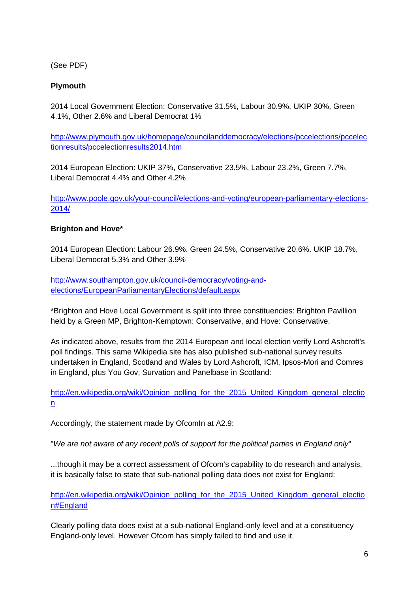(See PDF)

# **Plymouth**

2014 Local Government Election: Conservative 31.5%, Labour 30.9%, UKIP 30%, Green 4.1%, Other 2.6% and Liberal Democrat 1%

[http://www.plymouth.gov.uk/homepage/councilanddemocracy/elections/pccelections/pccelec](http://www.plymouth.gov.uk/homepage/councilanddemocracy/elections/pccelections/pccelectionresults/pccelectionresults2014.htm) [tionresults/pccelectionresults2014.htm](http://www.plymouth.gov.uk/homepage/councilanddemocracy/elections/pccelections/pccelectionresults/pccelectionresults2014.htm)

2014 European Election: UKIP 37%, Conservative 23.5%, Labour 23.2%, Green 7.7%, Liberal Democrat 4.4% and Other 4.2%

[http://www.poole.gov.uk/your-council/elections-and-voting/european-parliamentary-elections-](http://www.poole.gov.uk/your-council/elections-and-voting/european-parliamentary-elections-2014/)[2014/](http://www.poole.gov.uk/your-council/elections-and-voting/european-parliamentary-elections-2014/)

## **Brighton and Hove\***

2014 European Election: Labour 26.9%. Green 24.5%, Conservative 20.6%. UKIP 18.7%, Liberal Democrat 5.3% and Other 3.9%

[http://www.southampton.gov.uk/council-democracy/voting-and](http://www.southampton.gov.uk/council-democracy/voting-and-elections/EuropeanParliamentaryElections/default.aspx)[elections/EuropeanParliamentaryElections/default.aspx](http://www.southampton.gov.uk/council-democracy/voting-and-elections/EuropeanParliamentaryElections/default.aspx)

\*Brighton and Hove Local Government is split into three constituencies: Brighton Pavillion held by a Green MP, Brighton-Kemptown: Conservative, and Hove: Conservative.

As indicated above, results from the 2014 European and local election verify Lord Ashcroft's poll findings. This same Wikipedia site has also published sub-national survey results undertaken in England, Scotland and Wales by Lord Ashcroft, ICM, Ipsos-Mori and Comres in England, plus You Gov, Survation and Panelbase in Scotland:

[http://en.wikipedia.org/wiki/Opinion\\_polling\\_for\\_the\\_2015\\_United\\_Kingdom\\_general\\_electio](http://en.wikipedia.org/wiki/Opinion_polling_for_the_2015_United_Kingdom_general_election) [n](http://en.wikipedia.org/wiki/Opinion_polling_for_the_2015_United_Kingdom_general_election)

Accordingly, the statement made by OfcomIn at A2.9:

"*We are not aware of any recent polls of support for the political parties in England only*"

...though it may be a correct assessment of Ofcom's capability to do research and analysis, it is basically false to state that sub-national polling data does not exist for England:

[http://en.wikipedia.org/wiki/Opinion\\_polling\\_for\\_the\\_2015\\_United\\_Kingdom\\_general\\_electio](http://en.wikipedia.org/wiki/Opinion_polling_for_the_2015_United_Kingdom_general_election#England) [n#England](http://en.wikipedia.org/wiki/Opinion_polling_for_the_2015_United_Kingdom_general_election#England)

Clearly polling data does exist at a sub-national England-only level and at a constituency England-only level. However Ofcom has simply failed to find and use it.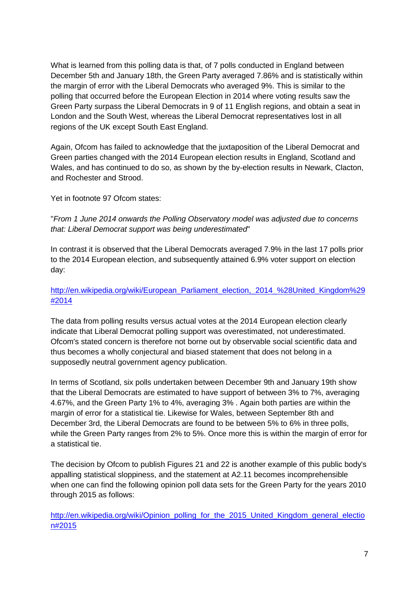What is learned from this polling data is that, of 7 polls conducted in England between December 5th and January 18th, the Green Party averaged 7.86% and is statistically within the margin of error with the Liberal Democrats who averaged 9%. This is similar to the polling that occurred before the European Election in 2014 where voting results saw the Green Party surpass the Liberal Democrats in 9 of 11 English regions, and obtain a seat in London and the South West, whereas the Liberal Democrat representatives lost in all regions of the UK except South East England.

Again, Ofcom has failed to acknowledge that the juxtaposition of the Liberal Democrat and Green parties changed with the 2014 European election results in England, Scotland and Wales, and has continued to do so, as shown by the by-election results in Newark, Clacton, and Rochester and Strood.

Yet in footnote 97 Ofcom states:

"*From 1 June 2014 onwards the Polling Observatory model was adjusted due to concerns that: Liberal Democrat support was being underestimated*"

In contrast it is observed that the Liberal Democrats averaged 7.9% in the last 17 polls prior to the 2014 European election, and subsequently attained 6.9% voter support on election day:

# http://en.wikipedia.org/wiki/European\_Parliament\_election, 2014\_%28United\_Kingdom%29 [#2014](http://en.wikipedia.org/wiki/European_Parliament_election,_2014_(United_Kingdom)#2014)

The data from polling results versus actual votes at the 2014 European election clearly indicate that Liberal Democrat polling support was overestimated, not underestimated. Ofcom's stated concern is therefore not borne out by observable social scientific data and thus becomes a wholly conjectural and biased statement that does not belong in a supposedly neutral government agency publication.

In terms of Scotland, six polls undertaken between December 9th and January 19th show that the Liberal Democrats are estimated to have support of between 3% to 7%, averaging 4.67%, and the Green Party 1% to 4%, averaging 3% . Again both parties are within the margin of error for a statistical tie. Likewise for Wales, between September 8th and December 3rd, the Liberal Democrats are found to be between 5% to 6% in three polls, while the Green Party ranges from 2% to 5%. Once more this is within the margin of error for a statistical tie.

The decision by Ofcom to publish Figures 21 and 22 is another example of this public body's appalling statistical sloppiness, and the statement at A2.11 becomes incomprehensible when one can find the following opinion poll data sets for the Green Party for the years 2010 through 2015 as follows:

[http://en.wikipedia.org/wiki/Opinion\\_polling\\_for\\_the\\_2015\\_United\\_Kingdom\\_general\\_electio](http://en.wikipedia.org/wiki/Opinion_polling_for_the_2015_United_Kingdom_general_election#2015) [n#2015](http://en.wikipedia.org/wiki/Opinion_polling_for_the_2015_United_Kingdom_general_election#2015)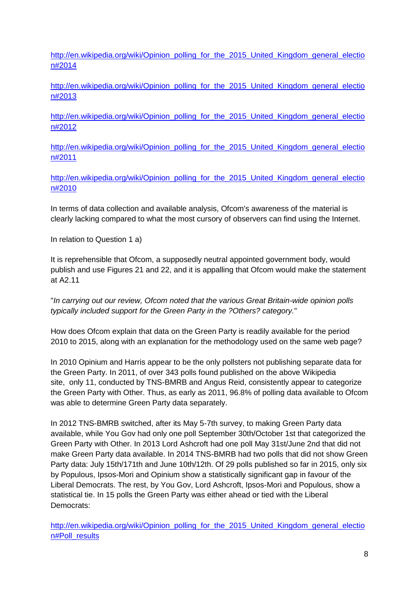[http://en.wikipedia.org/wiki/Opinion\\_polling\\_for\\_the\\_2015\\_United\\_Kingdom\\_general\\_electio](http://en.wikipedia.org/wiki/Opinion_polling_for_the_2015_United_Kingdom_general_election#2014) [n#2014](http://en.wikipedia.org/wiki/Opinion_polling_for_the_2015_United_Kingdom_general_election#2014)

[http://en.wikipedia.org/wiki/Opinion\\_polling\\_for\\_the\\_2015\\_United\\_Kingdom\\_general\\_electio](http://en.wikipedia.org/wiki/Opinion_polling_for_the_2015_United_Kingdom_general_election#2013) [n#2013](http://en.wikipedia.org/wiki/Opinion_polling_for_the_2015_United_Kingdom_general_election#2013)

[http://en.wikipedia.org/wiki/Opinion\\_polling\\_for\\_the\\_2015\\_United\\_Kingdom\\_general\\_electio](http://en.wikipedia.org/wiki/Opinion_polling_for_the_2015_United_Kingdom_general_election#2012) [n#2012](http://en.wikipedia.org/wiki/Opinion_polling_for_the_2015_United_Kingdom_general_election#2012)

[http://en.wikipedia.org/wiki/Opinion\\_polling\\_for\\_the\\_2015\\_United\\_Kingdom\\_general\\_electio](http://en.wikipedia.org/wiki/Opinion_polling_for_the_2015_United_Kingdom_general_election#2011) [n#2011](http://en.wikipedia.org/wiki/Opinion_polling_for_the_2015_United_Kingdom_general_election#2011)

[http://en.wikipedia.org/wiki/Opinion\\_polling\\_for\\_the\\_2015\\_United\\_Kingdom\\_general\\_electio](http://en.wikipedia.org/wiki/Opinion_polling_for_the_2015_United_Kingdom_general_election#2010) [n#2010](http://en.wikipedia.org/wiki/Opinion_polling_for_the_2015_United_Kingdom_general_election#2010)

In terms of data collection and available analysis, Ofcom's awareness of the material is clearly lacking compared to what the most cursory of observers can find using the Internet.

In relation to Question 1 a)

It is reprehensible that Ofcom, a supposedly neutral appointed government body, would publish and use Figures 21 and 22, and it is appalling that Ofcom would make the statement at A2.11

"*In carrying out our review, Ofcom noted that the various Great Britain-wide opinion polls typically included support for the Green Party in the ?Others? category.*"

How does Ofcom explain that data on the Green Party is readily available for the period 2010 to 2015, along with an explanation for the methodology used on the same web page?

In 2010 Opinium and Harris appear to be the only pollsters not publishing separate data for the Green Party. In 2011, of over 343 polls found published on the above Wikipedia site, only 11, conducted by TNS-BMRB and Angus Reid, consistently appear to categorize the Green Party with Other. Thus, as early as 2011, 96.8% of polling data available to Ofcom was able to determine Green Party data separately.

In 2012 TNS-BMRB switched, after its May 5-7th survey, to making Green Party data available, while You Gov had only one poll September 30th/October 1st that categorized the Green Party with Other. In 2013 Lord Ashcroft had one poll May 31st/June 2nd that did not make Green Party data available. In 2014 TNS-BMRB had two polls that did not show Green Party data: July 15th/171th and June 10th/12th. Of 29 polls published so far in 2015, only six by Populous, Ipsos-Mori and Opinium show a statistically significant gap in favour of the Liberal Democrats. The rest, by You Gov, Lord Ashcroft, Ipsos-Mori and Populous, show a statistical tie. In 15 polls the Green Party was either ahead or tied with the Liberal Democrats:

[http://en.wikipedia.org/wiki/Opinion\\_polling\\_for\\_the\\_2015\\_United\\_Kingdom\\_general\\_electio](http://en.wikipedia.org/wiki/Opinion_polling_for_the_2015_United_Kingdom_general_election#Poll_results) [n#Poll\\_results](http://en.wikipedia.org/wiki/Opinion_polling_for_the_2015_United_Kingdom_general_election#Poll_results)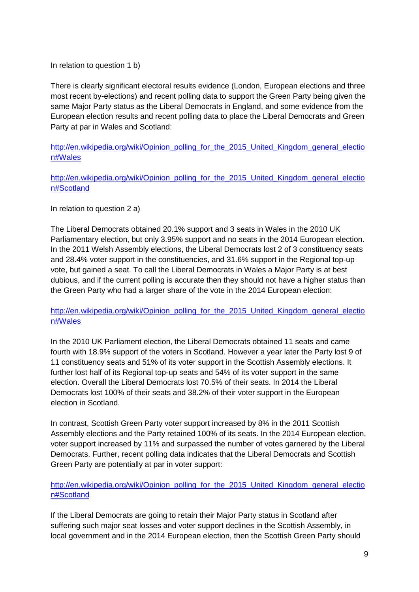In relation to question 1 b)

There is clearly significant electoral results evidence (London, European elections and three most recent by-elections) and recent polling data to support the Green Party being given the same Major Party status as the Liberal Democrats in England, and some evidence from the European election results and recent polling data to place the Liberal Democrats and Green Party at par in Wales and Scotland:

[http://en.wikipedia.org/wiki/Opinion\\_polling\\_for\\_the\\_2015\\_United\\_Kingdom\\_general\\_electio](http://en.wikipedia.org/wiki/Opinion_polling_for_the_2015_United_Kingdom_general_election#Wales) [n#Wales](http://en.wikipedia.org/wiki/Opinion_polling_for_the_2015_United_Kingdom_general_election#Wales)

[http://en.wikipedia.org/wiki/Opinion\\_polling\\_for\\_the\\_2015\\_United\\_Kingdom\\_general\\_electio](http://en.wikipedia.org/wiki/Opinion_polling_for_the_2015_United_Kingdom_general_election#Scotland) [n#Scotland](http://en.wikipedia.org/wiki/Opinion_polling_for_the_2015_United_Kingdom_general_election#Scotland)

In relation to question 2 a)

The Liberal Democrats obtained 20.1% support and 3 seats in Wales in the 2010 UK Parliamentary election, but only 3.95% support and no seats in the 2014 European election. In the 2011 Welsh Assembly elections, the Liberal Democrats lost 2 of 3 constituency seats and 28.4% voter support in the constituencies, and 31.6% support in the Regional top-up vote, but gained a seat. To call the Liberal Democrats in Wales a Major Party is at best dubious, and if the current polling is accurate then they should not have a higher status than the Green Party who had a larger share of the vote in the 2014 European election:

# [http://en.wikipedia.org/wiki/Opinion\\_polling\\_for\\_the\\_2015\\_United\\_Kingdom\\_general\\_electio](http://en.wikipedia.org/wiki/Opinion_polling_for_the_2015_United_Kingdom_general_election#Wales) [n#Wales](http://en.wikipedia.org/wiki/Opinion_polling_for_the_2015_United_Kingdom_general_election#Wales)

In the 2010 UK Parliament election, the Liberal Democrats obtained 11 seats and came fourth with 18.9% support of the voters in Scotland. However a year later the Party lost 9 of 11 constituency seats and 51% of its voter support in the Scottish Assembly elections. It further lost half of its Regional top-up seats and 54% of its voter support in the same election. Overall the Liberal Democrats lost 70.5% of their seats. In 2014 the Liberal Democrats lost 100% of their seats and 38.2% of their voter support in the European election in Scotland.

In contrast, Scottish Green Party voter support increased by 8% in the 2011 Scottish Assembly elections and the Party retained 100% of its seats. In the 2014 European election, voter support increased by 11% and surpassed the number of votes garnered by the Liberal Democrats. Further, recent polling data indicates that the Liberal Democrats and Scottish Green Party are potentially at par in voter support:

## [http://en.wikipedia.org/wiki/Opinion\\_polling\\_for\\_the\\_2015\\_United\\_Kingdom\\_general\\_electio](http://en.wikipedia.org/wiki/Opinion_polling_for_the_2015_United_Kingdom_general_election#Scotland) [n#Scotland](http://en.wikipedia.org/wiki/Opinion_polling_for_the_2015_United_Kingdom_general_election#Scotland)

If the Liberal Democrats are going to retain their Major Party status in Scotland after suffering such major seat losses and voter support declines in the Scottish Assembly, in local government and in the 2014 European election, then the Scottish Green Party should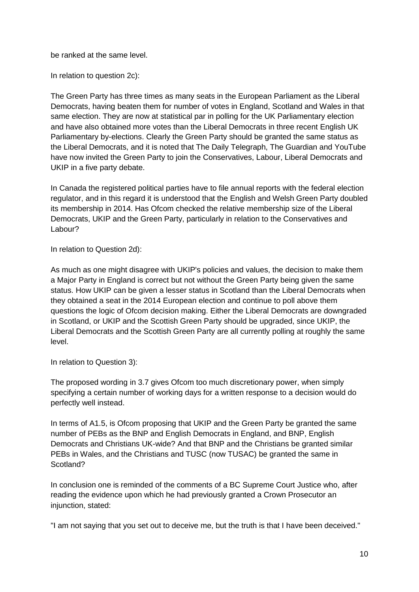be ranked at the same level.

In relation to question 2c):

The Green Party has three times as many seats in the European Parliament as the Liberal Democrats, having beaten them for number of votes in England, Scotland and Wales in that same election. They are now at statistical par in polling for the UK Parliamentary election and have also obtained more votes than the Liberal Democrats in three recent English UK Parliamentary by-elections. Clearly the Green Party should be granted the same status as the Liberal Democrats, and it is noted that The Daily Telegraph, The Guardian and YouTube have now invited the Green Party to join the Conservatives, Labour, Liberal Democrats and UKIP in a five party debate.

In Canada the registered political parties have to file annual reports with the federal election regulator, and in this regard it is understood that the English and Welsh Green Party doubled its membership in 2014. Has Ofcom checked the relative membership size of the Liberal Democrats, UKIP and the Green Party, particularly in relation to the Conservatives and Labour?

In relation to Question 2d):

As much as one might disagree with UKIP's policies and values, the decision to make them a Major Party in England is correct but not without the Green Party being given the same status. How UKIP can be given a lesser status in Scotland than the Liberal Democrats when they obtained a seat in the 2014 European election and continue to poll above them questions the logic of Ofcom decision making. Either the Liberal Democrats are downgraded in Scotland, or UKIP and the Scottish Green Party should be upgraded, since UKIP, the Liberal Democrats and the Scottish Green Party are all currently polling at roughly the same level.

In relation to Question 3):

The proposed wording in 3.7 gives Ofcom too much discretionary power, when simply specifying a certain number of working days for a written response to a decision would do perfectly well instead.

In terms of A1.5, is Ofcom proposing that UKIP and the Green Party be granted the same number of PEBs as the BNP and English Democrats in England, and BNP, English Democrats and Christians UK-wide? And that BNP and the Christians be granted similar PEBs in Wales, and the Christians and TUSC (now TUSAC) be granted the same in Scotland?

In conclusion one is reminded of the comments of a BC Supreme Court Justice who, after reading the evidence upon which he had previously granted a Crown Prosecutor an injunction, stated:

"I am not saying that you set out to deceive me, but the truth is that I have been deceived."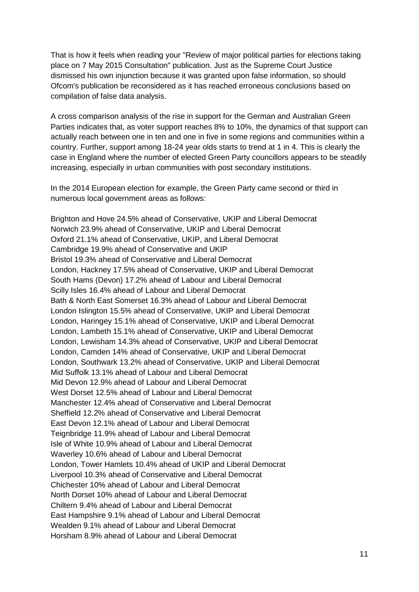That is how it feels when reading your "Review of major political parties for elections taking place on 7 May 2015 Consultation" publication. Just as the Supreme Court Justice dismissed his own injunction because it was granted upon false information, so should Ofcom's publication be reconsidered as it has reached erroneous conclusions based on compilation of false data analysis.

A cross comparison analysis of the rise in support for the German and Australian Green Parties indicates that, as voter support reaches 8% to 10%, the dynamics of that support can actually reach between one in ten and one in five in some regions and communities within a country. Further, support among 18-24 year olds starts to trend at 1 in 4. This is clearly the case in England where the number of elected Green Party councillors appears to be steadily increasing, especially in urban communities with post secondary institutions.

In the 2014 European election for example, the Green Party came second or third in numerous local government areas as follows:

Brighton and Hove 24.5% ahead of Conservative, UKIP and Liberal Democrat Norwich 23.9% ahead of Conservative, UKIP and Liberal Democrat Oxford 21.1% ahead of Conservative, UKIP, and Liberal Democrat Cambridge 19.9% ahead of Conservative and UKIP Bristol 19.3% ahead of Conservative and Liberal Democrat London, Hackney 17.5% ahead of Conservative, UKIP and Liberal Democrat South Hams (Devon) 17.2% ahead of Labour and Liberal Democrat Scilly Isles 16.4% ahead of Labour and Liberal Democrat Bath & North East Somerset 16.3% ahead of Labour and Liberal Democrat London Islington 15.5% ahead of Conservative, UKIP and Liberal Democrat London, Haringey 15.1% ahead of Conservative, UKIP and Liberal Democrat London, Lambeth 15.1% ahead of Conservative, UKIP and Liberal Democrat London, Lewisham 14.3% ahead of Conservative, UKIP and Liberal Democrat London, Camden 14% ahead of Conservative, UKIP and Liberal Democrat London, Southwark 13.2% ahead of Conservative, UKIP and Liberal Democrat Mid Suffolk 13.1% ahead of Labour and Liberal Democrat Mid Devon 12.9% ahead of Labour and Liberal Democrat West Dorset 12.5% ahead of Labour and Liberal Democrat Manchester 12.4% ahead of Conservative and Liberal Democrat Sheffield 12.2% ahead of Conservative and Liberal Democrat East Devon 12.1% ahead of Labour and Liberal Democrat Teignbridge 11.9% ahead of Labour and Liberal Democrat Isle of White 10.9% ahead of Labour and Liberal Democrat Waverley 10.6% ahead of Labour and Liberal Democrat London, Tower Hamlets 10.4% ahead of UKIP and Liberal Democrat Liverpool 10.3% ahead of Conservative and Liberal Democrat Chichester 10% ahead of Labour and Liberal Democrat North Dorset 10% ahead of Labour and Liberal Democrat Chiltern 9.4% ahead of Labour and Liberal Democrat East Hampshire 9.1% ahead of Labour and Liberal Democrat Wealden 9.1% ahead of Labour and Liberal Democrat Horsham 8.9% ahead of Labour and Liberal Democrat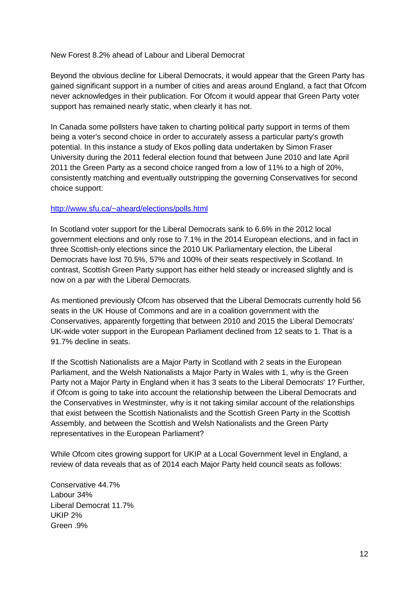#### New Forest 8.2% ahead of Labour and Liberal Democrat

Beyond the obvious decline for Liberal Democrats, it would appear that the Green Party has gained significant support in a number of cities and areas around England, a fact that Ofcom never acknowledges in their publication. For Ofcom it would appear that Green Party voter support has remained nearly static, when clearly it has not.

In Canada some pollsters have taken to charting political party support in terms of them being a voter's second choice in order to accurately assess a particular party's growth potential. In this instance a study of Ekos polling data undertaken by Simon Fraser University during the 2011 federal election found that between June 2010 and late April 2011 the Green Party as a second choice ranged from a low of 11% to a high of 20%, consistently matching and eventually outstripping the governing Conservatives for second choice support:

#### <http://www.sfu.ca/~aheard/elections/polls.html>

In Scotland voter support for the Liberal Democrats sank to 6.6% in the 2012 local government elections and only rose to 7.1% in the 2014 European elections, and in fact in three Scottish-only elections since the 2010 UK Parliamentary election, the Liberal Democrats have lost 70.5%, 57% and 100% of their seats respectively in Scotland. In contrast, Scottish Green Party support has either held steady or increased slightly and is now on a par with the Liberal Democrats.

As mentioned previously Ofcom has observed that the Liberal Democrats currently hold 56 seats in the UK House of Commons and are in a coalition government with the Conservatives, apparently forgetting that between 2010 and 2015 the Liberal Democrats' UK-wide voter support in the European Parliament declined from 12 seats to 1. That is a 91.7% decline in seats.

If the Scottish Nationalists are a Major Party in Scotland with 2 seats in the European Parliament, and the Welsh Nationalists a Major Party in Wales with 1, why is the Green Party not a Major Party in England when it has 3 seats to the Liberal Democrats' 1? Further, if Ofcom is going to take into account the relationship between the Liberal Democrats and the Conservatives in Westminster, why is it not taking similar account of the relationships that exist between the Scottish Nationalists and the Scottish Green Party in the Scottish Assembly, and between the Scottish and Welsh Nationalists and the Green Party representatives in the European Parliament?

While Ofcom cites growing support for UKIP at a Local Government level in England, a review of data reveals that as of 2014 each Major Party held council seats as follows:

Conservative 44.7% Labour 34% Liberal Democrat 11.7% UKIP 2% Green 9%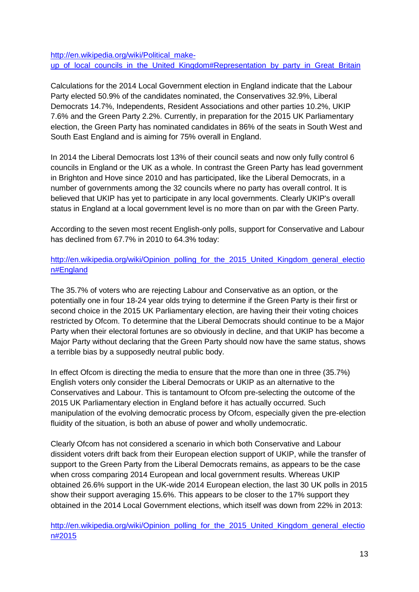[http://en.wikipedia.org/wiki/Political\\_make](http://en.wikipedia.org/wiki/Political_make-up_of_local_councils_in_the_United_Kingdom#Representation_by_party_in_Great_Britain)up of local councils in the United Kingdom#Representation by party in Great Britain

Calculations for the 2014 Local Government election in England indicate that the Labour Party elected 50.9% of the candidates nominated, the Conservatives 32.9%, Liberal Democrats 14.7%, Independents, Resident Associations and other parties 10.2%, UKIP 7.6% and the Green Party 2.2%. Currently, in preparation for the 2015 UK Parliamentary election, the Green Party has nominated candidates in 86% of the seats in South West and South East England and is aiming for 75% overall in England.

In 2014 the Liberal Democrats lost 13% of their council seats and now only fully control 6 councils in England or the UK as a whole. In contrast the Green Party has lead government in Brighton and Hove since 2010 and has participated, like the Liberal Democrats, in a number of governments among the 32 councils where no party has overall control. It is believed that UKIP has yet to participate in any local governments. Clearly UKIP's overall status in England at a local government level is no more than on par with the Green Party.

According to the seven most recent English-only polls, support for Conservative and Labour has declined from 67.7% in 2010 to 64.3% today:

[http://en.wikipedia.org/wiki/Opinion\\_polling\\_for\\_the\\_2015\\_United\\_Kingdom\\_general\\_electio](http://en.wikipedia.org/wiki/Opinion_polling_for_the_2015_United_Kingdom_general_election#England) [n#England](http://en.wikipedia.org/wiki/Opinion_polling_for_the_2015_United_Kingdom_general_election#England)

The 35.7% of voters who are rejecting Labour and Conservative as an option, or the potentially one in four 18-24 year olds trying to determine if the Green Party is their first or second choice in the 2015 UK Parliamentary election, are having their their voting choices restricted by Ofcom. To determine that the Liberal Democrats should continue to be a Major Party when their electoral fortunes are so obviously in decline, and that UKIP has become a Major Party without declaring that the Green Party should now have the same status, shows a terrible bias by a supposedly neutral public body.

In effect Ofcom is directing the media to ensure that the more than one in three (35.7%) English voters only consider the Liberal Democrats or UKIP as an alternative to the Conservatives and Labour. This is tantamount to Ofcom pre-selecting the outcome of the 2015 UK Parliamentary election in England before it has actually occurred. Such manipulation of the evolving democratic process by Ofcom, especially given the pre-election fluidity of the situation, is both an abuse of power and wholly undemocratic.

Clearly Ofcom has not considered a scenario in which both Conservative and Labour dissident voters drift back from their European election support of UKIP, while the transfer of support to the Green Party from the Liberal Democrats remains, as appears to be the case when cross comparing 2014 European and local government results. Whereas UKIP obtained 26.6% support in the UK-wide 2014 European election, the last 30 UK polls in 2015 show their support averaging 15.6%. This appears to be closer to the 17% support they obtained in the 2014 Local Government elections, which itself was down from 22% in 2013:

[http://en.wikipedia.org/wiki/Opinion\\_polling\\_for\\_the\\_2015\\_United\\_Kingdom\\_general\\_electio](http://en.wikipedia.org/wiki/Opinion_polling_for_the_2015_United_Kingdom_general_election#2015) [n#2015](http://en.wikipedia.org/wiki/Opinion_polling_for_the_2015_United_Kingdom_general_election#2015)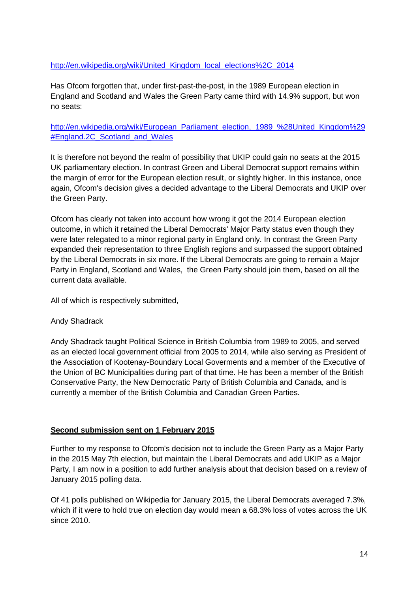## [http://en.wikipedia.org/wiki/United\\_Kingdom\\_local\\_elections%2C\\_2014](http://en.wikipedia.org/wiki/United_Kingdom_local_elections,_2014)

Has Ofcom forgotten that, under first-past-the-post, in the 1989 European election in England and Scotland and Wales the Green Party came third with 14.9% support, but won no seats:

[http://en.wikipedia.org/wiki/European\\_Parliament\\_election,\\_1989\\_%28United\\_Kingdom%29](http://en.wikipedia.org/wiki/European_Parliament_election,_1989_(United_Kingdom)#England.2C_Scotland_and_Wales) #England.2C Scotland and Wales

It is therefore not beyond the realm of possibility that UKIP could gain no seats at the 2015 UK parliamentary election. In contrast Green and Liberal Democrat support remains within the margin of error for the European election result, or slightly higher. In this instance, once again, Ofcom's decision gives a decided advantage to the Liberal Democrats and UKIP over the Green Party.

Ofcom has clearly not taken into account how wrong it got the 2014 European election outcome, in which it retained the Liberal Democrats' Major Party status even though they were later relegated to a minor regional party in England only. In contrast the Green Party expanded their representation to three English regions and surpassed the support obtained by the Liberal Democrats in six more. If the Liberal Democrats are going to remain a Major Party in England, Scotland and Wales, the Green Party should join them, based on all the current data available.

All of which is respectively submitted,

#### Andy Shadrack

Andy Shadrack taught Political Science in British Columbia from 1989 to 2005, and served as an elected local government official from 2005 to 2014, while also serving as President of the Association of Kootenay-Boundary Local Goverments and a member of the Executive of the Union of BC Municipalities during part of that time. He has been a member of the British Conservative Party, the New Democratic Party of British Columbia and Canada, and is currently a member of the British Columbia and Canadian Green Parties.

#### **Second submission sent on 1 February 2015**

Further to my response to Ofcom's decision not to include the Green Party as a Major Party in the 2015 May 7th election, but maintain the Liberal Democrats and add UKIP as a Major Party, I am now in a position to add further analysis about that decision based on a review of January 2015 polling data.

Of 41 polls published on Wikipedia for January 2015, the Liberal Democrats averaged 7.3%, which if it were to hold true on election day would mean a 68.3% loss of votes across the UK since 2010.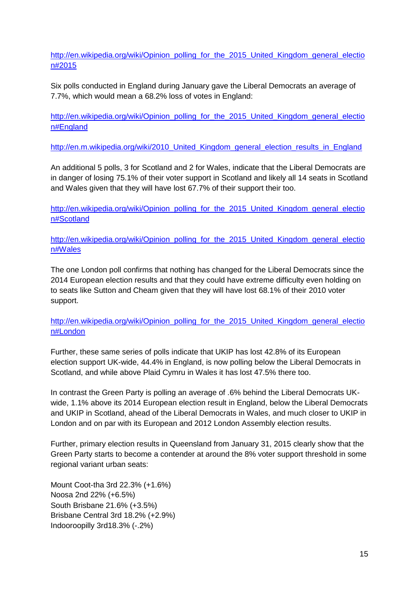[http://en.wikipedia.org/wiki/Opinion\\_polling\\_for\\_the\\_2015\\_United\\_Kingdom\\_general\\_electio](http://en.wikipedia.org/wiki/Opinion_polling_for_the_2015_United_Kingdom_general_election#2015) [n#2015](http://en.wikipedia.org/wiki/Opinion_polling_for_the_2015_United_Kingdom_general_election#2015)

Six polls conducted in England during January gave the Liberal Democrats an average of 7.7%, which would mean a 68.2% loss of votes in England:

[http://en.wikipedia.org/wiki/Opinion\\_polling\\_for\\_the\\_2015\\_United\\_Kingdom\\_general\\_electio](http://en.wikipedia.org/wiki/Opinion_polling_for_the_2015_United_Kingdom_general_election#England) [n#England](http://en.wikipedia.org/wiki/Opinion_polling_for_the_2015_United_Kingdom_general_election#England)

http://en.m.wikipedia.org/wiki/2010 United Kingdom general election results in England

An additional 5 polls, 3 for Scotland and 2 for Wales, indicate that the Liberal Democrats are in danger of losing 75.1% of their voter support in Scotland and likely all 14 seats in Scotland and Wales given that they will have lost 67.7% of their support their too.

[http://en.wikipedia.org/wiki/Opinion\\_polling\\_for\\_the\\_2015\\_United\\_Kingdom\\_general\\_electio](http://en.wikipedia.org/wiki/Opinion_polling_for_the_2015_United_Kingdom_general_election#Scotland) [n#Scotland](http://en.wikipedia.org/wiki/Opinion_polling_for_the_2015_United_Kingdom_general_election#Scotland)

[http://en.wikipedia.org/wiki/Opinion\\_polling\\_for\\_the\\_2015\\_United\\_Kingdom\\_general\\_electio](http://en.wikipedia.org/wiki/Opinion_polling_for_the_2015_United_Kingdom_general_election#Wales) [n#Wales](http://en.wikipedia.org/wiki/Opinion_polling_for_the_2015_United_Kingdom_general_election#Wales)

The one London poll confirms that nothing has changed for the Liberal Democrats since the 2014 European election results and that they could have extreme difficulty even holding on to seats like Sutton and Cheam given that they will have lost 68.1% of their 2010 voter support.

[http://en.wikipedia.org/wiki/Opinion\\_polling\\_for\\_the\\_2015\\_United\\_Kingdom\\_general\\_electio](http://en.wikipedia.org/wiki/Opinion_polling_for_the_2015_United_Kingdom_general_election#London) [n#London](http://en.wikipedia.org/wiki/Opinion_polling_for_the_2015_United_Kingdom_general_election#London)

Further, these same series of polls indicate that UKIP has lost 42.8% of its European election support UK-wide, 44.4% in England, is now polling below the Liberal Democrats in Scotland, and while above Plaid Cymru in Wales it has lost 47.5% there too.

In contrast the Green Party is polling an average of .6% behind the Liberal Democrats UKwide, 1.1% above its 2014 European election result in England, below the Liberal Democrats and UKIP in Scotland, ahead of the Liberal Democrats in Wales, and much closer to UKIP in London and on par with its European and 2012 London Assembly election results.

Further, primary election results in Queensland from January 31, 2015 clearly show that the Green Party starts to become a contender at around the 8% voter support threshold in some regional variant urban seats:

Mount Coot-tha 3rd 22.3% (+1.6%) Noosa 2nd 22% (+6.5%) South Brisbane 21.6% (+3.5%) Brisbane Central 3rd 18.2% (+2.9%) Indooroopilly 3rd18.3% (-.2%)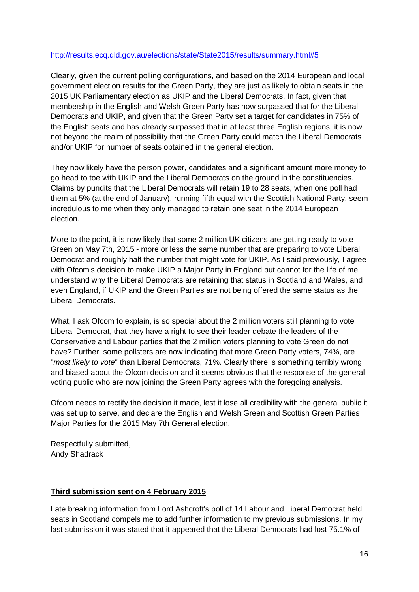### <http://results.ecq.qld.gov.au/elections/state/State2015/results/summary.html#5>

Clearly, given the current polling configurations, and based on the 2014 European and local government election results for the Green Party, they are just as likely to obtain seats in the 2015 UK Parliamentary election as UKIP and the Liberal Democrats. In fact, given that membership in the English and Welsh Green Party has now surpassed that for the Liberal Democrats and UKIP, and given that the Green Party set a target for candidates in 75% of the English seats and has already surpassed that in at least three English regions, it is now not beyond the realm of possibility that the Green Party could match the Liberal Democrats and/or UKIP for number of seats obtained in the general election.

They now likely have the person power, candidates and a significant amount more money to go head to toe with UKIP and the Liberal Democrats on the ground in the constituencies. Claims by pundits that the Liberal Democrats will retain 19 to 28 seats, when one poll had them at 5% (at the end of January), running fifth equal with the Scottish National Party, seem incredulous to me when they only managed to retain one seat in the 2014 European election.

More to the point, it is now likely that some 2 million UK citizens are getting ready to vote Green on May 7th, 2015 - more or less the same number that are preparing to vote Liberal Democrat and roughly half the number that might vote for UKIP. As I said previously, I agree with Ofcom's decision to make UKIP a Major Party in England but cannot for the life of me understand why the Liberal Democrats are retaining that status in Scotland and Wales, and even England, if UKIP and the Green Parties are not being offered the same status as the Liberal Democrats.

What, I ask Ofcom to explain, is so special about the 2 million voters still planning to vote Liberal Democrat, that they have a right to see their leader debate the leaders of the Conservative and Labour parties that the 2 million voters planning to vote Green do not have? Further, some pollsters are now indicating that more Green Party voters, 74%, are "*most likely to vote*" than Liberal Democrats, 71%. Clearly there is something terribly wrong and biased about the Ofcom decision and it seems obvious that the response of the general voting public who are now joining the Green Party agrees with the foregoing analysis.

Ofcom needs to rectify the decision it made, lest it lose all credibility with the general public it was set up to serve, and declare the English and Welsh Green and Scottish Green Parties Major Parties for the 2015 May 7th General election.

Respectfully submitted, Andy Shadrack

# **Third submission sent on 4 February 2015**

Late breaking information from Lord Ashcroft's poll of 14 Labour and Liberal Democrat held seats in Scotland compels me to add further information to my previous submissions. In my last submission it was stated that it appeared that the Liberal Democrats had lost 75.1% of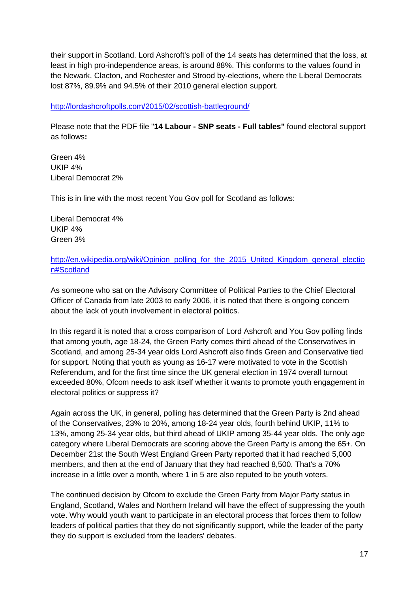their support in Scotland. Lord Ashcroft's poll of the 14 seats has determined that the loss, at least in high pro-independence areas, is around 88%. This conforms to the values found in the Newark, Clacton, and Rochester and Strood by-elections, where the Liberal Democrats lost 87%, 89.9% and 94.5% of their 2010 general election support.

<http://lordashcroftpolls.com/2015/02/scottish-battleground/>

Please note that the PDF file "**14 Labour - SNP seats - Full tables"** found electoral support as follows**:**

Green 4% UKIP 4% Liberal Democrat 2%

This is in line with the most recent You Gov poll for Scotland as follows:

Liberal Democrat 4% UKIP 4% Green 3%

[http://en.wikipedia.org/wiki/Opinion\\_polling\\_for\\_the\\_2015\\_United\\_Kingdom\\_general\\_electio](http://en.wikipedia.org/wiki/Opinion_polling_for_the_2015_United_Kingdom_general_election#Scotland) [n#Scotland](http://en.wikipedia.org/wiki/Opinion_polling_for_the_2015_United_Kingdom_general_election#Scotland)

As someone who sat on the Advisory Committee of Political Parties to the Chief Electoral Officer of Canada from late 2003 to early 2006, it is noted that there is ongoing concern about the lack of youth involvement in electoral politics.

In this regard it is noted that a cross comparison of Lord Ashcroft and You Gov polling finds that among youth, age 18-24, the Green Party comes third ahead of the Conservatives in Scotland, and among 25-34 year olds Lord Ashcroft also finds Green and Conservative tied for support. Noting that youth as young as 16-17 were motivated to vote in the Scottish Referendum, and for the first time since the UK general election in 1974 overall turnout exceeded 80%, Ofcom needs to ask itself whether it wants to promote youth engagement in electoral politics or suppress it?

Again across the UK, in general, polling has determined that the Green Party is 2nd ahead of the Conservatives, 23% to 20%, among 18-24 year olds, fourth behind UKIP, 11% to 13%, among 25-34 year olds, but third ahead of UKIP among 35-44 year olds. The only age category where Liberal Democrats are scoring above the Green Party is among the 65+. On December 21st the South West England Green Party reported that it had reached 5,000 members, and then at the end of January that they had reached 8,500. That's a 70% increase in a little over a month, where 1 in 5 are also reputed to be youth voters.

The continued decision by Ofcom to exclude the Green Party from Major Party status in England, Scotland, Wales and Northern Ireland will have the effect of suppressing the youth vote. Why would youth want to participate in an electoral process that forces them to follow leaders of political parties that they do not significantly support, while the leader of the party they do support is excluded from the leaders' debates.